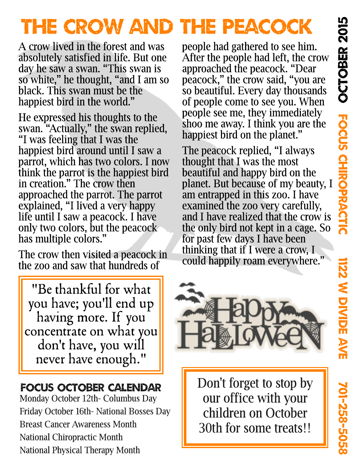**1999** 22<br>22

W

Divid<br>Divid

**Ti** 

Av îì

70 1- N Ų1 8 -  $\boldsymbol{\mathsf{u}}$  $\bullet$ Ų1 **00** 

# THE CROW AND THE PEACOCK

A crow lived in the forest and was absolutely satisfied in life. But one day he saw a swan. "This swan is so white," he thought, "and I am so black. This swan must be the happiest bird in the world."

He expressed his thoughts to the swan. "Actually," the swan replied, "I was feeling that I was the happiest bird around until I saw a parrot, which has two colors. I now think the parrot is the happiest bird in creation." The crow then approached the parrot. The parrot explained, "I lived a very happy life until I saw a peacock. I have only two colors, but the peacock has multiple colors."

The crow then visited a peacock in the zoo and saw that hundreds of

"Be thankful for what you have; you'll end up having more. If you concentrate on what you don't have, you will never have enough."

## FOCUS OCTOBER CALENDAR

Monday October 12th- Columbus Day Friday October 16th- National Bosses Day Breast Cancer Awareness Month National Chiropractic Month National Physical Therapy Month

people had gathered to see him. After the people had left, the crow approached the peacock. "Dear peacock," the crow said, "you are so beautiful. Every day thousands of people come to see you. When people see me, they immediately shoo me away. I think you are the happiest bird on the planet."

The peacock replied, "I always thought that I was the most beautiful and happy bird on the planet. But because of my beauty, I am entrapped in this zoo. I have examined the zoo very carefully. and I have realized that the crow is the only bird not kept in a cage. So for past few days I have been thinking that if I were a crow, I could happily roam everywhere."



Don't forget to stop by our office with your children on October 30th for some treats!!